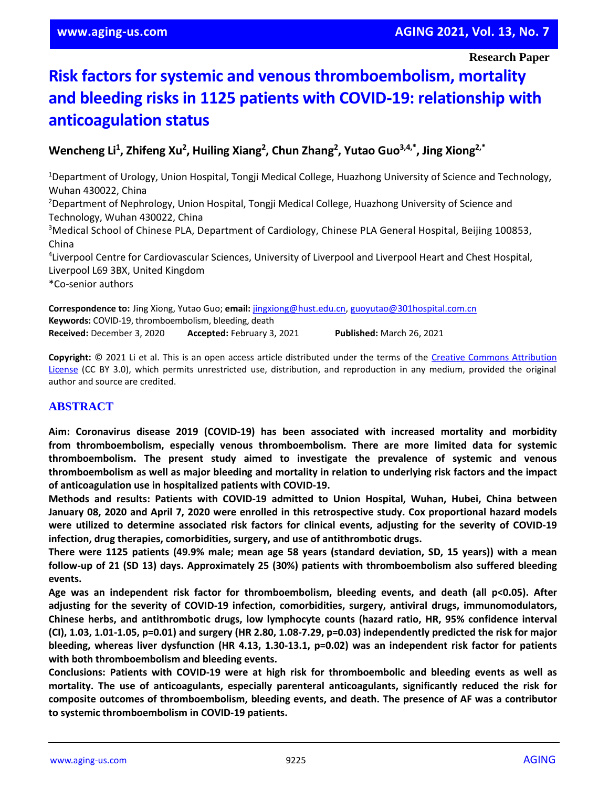# **Risk factors for systemic and venous thromboembolism, mortality and bleeding risks in 1125 patients with COVID-19: relationship with anticoagulation status**

**Wencheng Li 1 , Zhifeng Xu<sup>2</sup> , Huiling Xiang<sup>2</sup> , Chun Zhang<sup>2</sup> , Yutao Guo3,4,\*, Jing Xiong2,\***

<sup>1</sup>Department of Urology, Union Hospital, Tongji Medical College, Huazhong University of Science and Technology, Wuhan 430022, China <sup>2</sup>Department of Nephrology, Union Hospital, Tongji Medical College, Huazhong University of Science and Technology, Wuhan 430022, China <sup>3</sup>Medical School of Chinese PLA, Department of Cardiology, Chinese PLA General Hospital, Beijing 100853, China 4 Liverpool Centre for Cardiovascular Sciences, University of Liverpool and Liverpool Heart and Chest Hospital,

Liverpool L69 3BX, United Kingdom

\*Co-senior authors

**Correspondence to:** Jing Xiong, Yutao Guo; **email:** [jingxiong@hust.edu.cn,](mailto:jingxiong@hust.edu.cn) [guoyutao@301hospital.com.cn](mailto:guoyutao@301hospital.com.cn) **Keywords:** COVID-19, thromboembolism, bleeding, death **Received:** December 3, 2020 **Accepted:** February 3, 2021 **Published:** March 26, 2021

**Copyright:** © 2021 Li et al. This is an open access article distributed under the terms of the [Creative Commons Attribution](https://creativecommons.org/licenses/by/3.0/)  [License](https://creativecommons.org/licenses/by/3.0/) (CC BY 3.0), which permits unrestricted use, distribution, and reproduction in any medium, provided the original author and source are credited.

## **ABSTRACT**

**Aim: Coronavirus disease 2019 (COVID-19) has been associated with increased mortality and morbidity from thromboembolism, especially venous thromboembolism. There are more limited data for systemic thromboembolism. The present study aimed to investigate the prevalence of systemic and venous** thromboembolism as well as major bleeding and mortality in relation to underlying risk factors and the impact **of anticoagulation use in hospitalized patients with COVID-19.**

**Methods and results: Patients with COVID-19 admitted to Union Hospital, Wuhan, Hubei, China between** January 08, 2020 and April 7, 2020 were enrolled in this retrospective study. Cox proportional hazard models **were utilized to determine associated risk factors for clinical events, adjusting for the severity of COVID-19 infection, drug therapies, comorbidities, surgery, and use of antithrombotic drugs.**

There were 1125 patients (49.9% male; mean age 58 years (standard deviation, SD, 15 years)) with a mean **follow-up of 21 (SD 13) days. Approximately 25 (30%) patients with thromboembolism also suffered bleeding events.**

**Age was an independent risk factor for thromboembolism, bleeding events, and death (all p<0.05). After adjusting for the severity of COVID-19 infection, comorbidities, surgery, antiviral drugs, immunomodulators, Chinese herbs, and antithrombotic drugs, low lymphocyte counts (hazard ratio, HR, 95% confidence interval** (CI), 1.03, 1.01-1.05, p=0.01) and surgery (HR 2.80, 1.08-7.29, p=0.03) independently predicted the risk for major **bleeding, whereas liver dysfunction (HR 4.13, 1.30-13.1, p=0.02) was an independent risk factor for patients with both thromboembolism and bleeding events.**

**Conclusions: Patients with COVID-19 were at high risk for thromboembolic and bleeding events as well as mortality. The use of anticoagulants, especially parenteral anticoagulants, significantly reduced the risk for composite outcomes of thromboembolism, bleeding events, and death. The presence of AF was a contributor to systemic thromboembolism in COVID-19 patients.**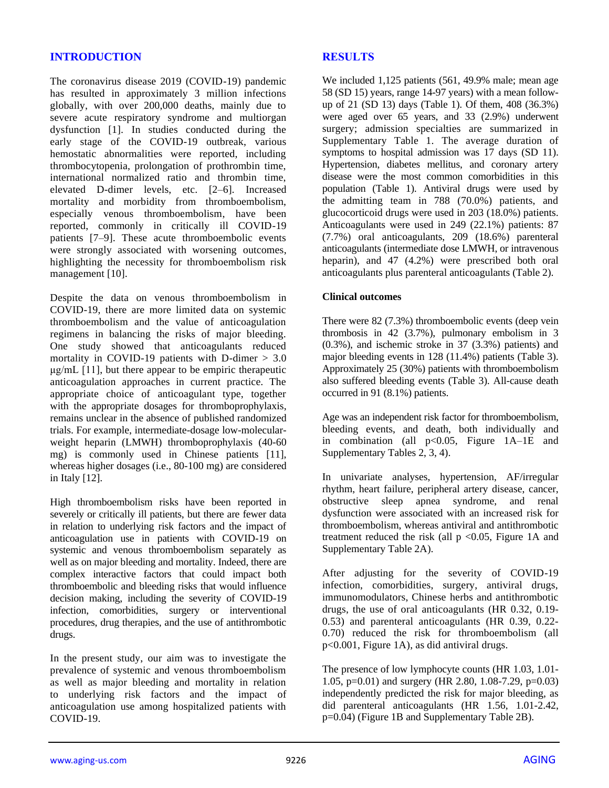#### **INTRODUCTION**

The coronavirus disease 2019 (COVID-19) pandemic has resulted in approximately 3 million infections globally, with over 200,000 deaths, mainly due to severe acute respiratory syndrome and multiorgan dysfunction [1]. In studies conducted during the early stage of the COVID-19 outbreak, various hemostatic abnormalities were reported, including thrombocytopenia, prolongation of prothrombin time, international normalized ratio and thrombin time, elevated D-dimer levels, etc. [2–6]. Increased mortality and morbidity from thromboembolism, especially venous thromboembolism, have been reported, commonly in critically ill COVID-19 patients [7–9]. These acute thromboembolic events were strongly associated with worsening outcomes, highlighting the necessity for thromboembolism risk management [10].

Despite the data on venous thromboembolism in COVID-19, there are more limited data on systemic thromboembolism and the value of anticoagulation regimens in balancing the risks of major bleeding. One study showed that anticoagulants reduced mortality in COVID-19 patients with D-dimer  $> 3.0$  $\mu$ g/mL [11], but there appear to be empiric therapeutic anticoagulation approaches in current practice. The appropriate choice of anticoagulant type, together with the appropriate dosages for thromboprophylaxis, remains unclear in the absence of published randomized trials. For example, intermediate-dosage low-molecularweight heparin (LMWH) thromboprophylaxis (40-60 mg) is commonly used in Chinese patients [11], whereas higher dosages (i.e., 80-100 mg) are considered in Italy [12].

High thromboembolism risks have been reported in severely or critically ill patients, but there are fewer data in relation to underlying risk factors and the impact of anticoagulation use in patients with COVID-19 on systemic and venous thromboembolism separately as well as on major bleeding and mortality. Indeed, there are complex interactive factors that could impact both thromboembolic and bleeding risks that would influence decision making, including the severity of COVID-19 infection, comorbidities, surgery or interventional procedures, drug therapies, and the use of antithrombotic drugs.

In the present study, our aim was to investigate the prevalence of systemic and venous thromboembolism as well as major bleeding and mortality in relation to underlying risk factors and the impact of anticoagulation use among hospitalized patients with COVID-19.

#### **RESULTS**

We included 1,125 patients (561, 49.9% male; mean age 58 (SD 15) years, range 14-97 years) with a mean followup of 21 (SD 13) days (Table 1). Of them, 408 (36.3%) were aged over 65 years, and 33 (2.9%) underwent surgery; admission specialties are summarized in Supplementary Table 1. The average duration of symptoms to hospital admission was 17 days (SD 11). Hypertension, diabetes mellitus, and coronary artery disease were the most common comorbidities in this population (Table 1). Antiviral drugs were used by the admitting team in 788 (70.0%) patients, and glucocorticoid drugs were used in 203 (18.0%) patients. Anticoagulants were used in 249 (22.1%) patients: 87 (7.7%) oral anticoagulants, 209 (18.6%) parenteral anticoagulants (intermediate dose LMWH, or intravenous heparin), and 47 (4.2%) were prescribed both oral anticoagulants plus parenteral anticoagulants (Table 2).

#### **Clinical outcomes**

There were 82 (7.3%) thromboembolic events (deep vein thrombosis in 42 (3.7%), pulmonary embolism in 3 (0.3%), and ischemic stroke in 37 (3.3%) patients) and major bleeding events in 128 (11.4%) patients (Table 3). Approximately 25 (30%) patients with thromboembolism also suffered bleeding events (Table 3). All-cause death occurred in 91 (8.1%) patients.

Age was an independent risk factor for thromboembolism, bleeding events, and death, both individually and in combination (all  $p<0.05$ , Figure  $1A-1E$  and Supplementary Tables 2, 3, 4).

In univariate analyses, hypertension, AF/irregular rhythm, heart failure, peripheral artery disease, cancer, obstructive sleep apnea syndrome, and renal dysfunction were associated with an increased risk for thromboembolism, whereas antiviral and antithrombotic treatment reduced the risk (all  $p \le 0.05$ , Figure 1A and Supplementary Table 2A).

After adjusting for the severity of COVID-19 infection, comorbidities, surgery, antiviral drugs, immunomodulators, Chinese herbs and antithrombotic drugs, the use of oral anticoagulants (HR 0.32, 0.19- 0.53) and parenteral anticoagulants (HR 0.39, 0.22- 0.70) reduced the risk for thromboembolism (all p<0.001, Figure 1A), as did antiviral drugs.

The presence of low lymphocyte counts (HR 1.03, 1.01- 1.05, p=0.01) and surgery (HR 2.80, 1.08-7.29, p=0.03) independently predicted the risk for major bleeding, as did parenteral anticoagulants (HR 1.56, 1.01-2.42, p=0.04) (Figure 1B and Supplementary Table 2B).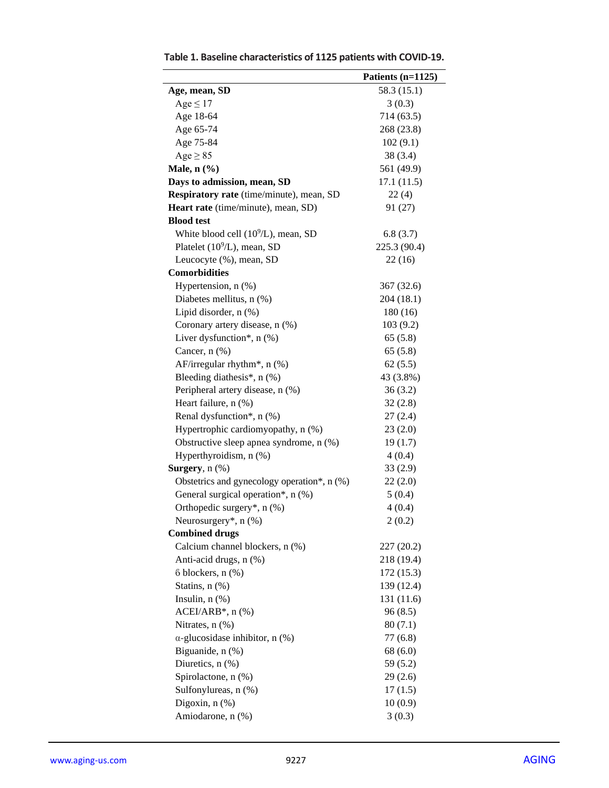| 58.3 (15.1)<br>Age, mean, SD<br>$Age \leq 17$<br>3(0.3)<br>Age 18-64<br>714 (63.5)<br>Age 65-74<br>268 (23.8)<br>Age 75-84<br>102(9.1)<br>$Age \geq 85$<br>38(3.4)<br>Male, $n$ $(\% )$<br>561 (49.9)<br>Days to admission, mean, SD<br>17.1(11.5)<br>Respiratory rate (time/minute), mean, SD<br>22(4)<br>Heart rate (time/minute), mean, SD)<br>91 (27)<br><b>Blood test</b><br>White blood cell $(10^9/L)$ , mean, SD<br>6.8(3.7)<br>Platelet $(10^9/L)$ , mean, SD<br>225.3 (90.4)<br>Leucocyte (%), mean, SD<br>22(16)<br><b>Comorbidities</b><br>Hypertension, n (%)<br>367 (32.6)<br>Diabetes mellitus, n (%)<br>204 (18.1)<br>Lipid disorder, n (%)<br>180(16)<br>Coronary artery disease, n (%)<br>103 (9.2)<br>Liver dysfunction*, $n$ (%)<br>65(5.8)<br>Cancer, $n$ $(\%)$<br>65(5.8)<br>AF/irregular rhythm*, n (%)<br>62(5.5)<br>Bleeding diathesis*, n (%)<br>43 (3.8%)<br>Peripheral artery disease, n (%)<br>36(3.2)<br>Heart failure, n (%)<br>32(2.8)<br>Renal dysfunction*, n (%)<br>27(2.4)<br>Hypertrophic cardiomyopathy, n (%)<br>23(2.0)<br>Obstructive sleep apnea syndrome, n (%)<br>19(1.7)<br>Hyperthyroidism, n (%)<br>4(0.4)<br>Surgery, $n$ $(\%)$<br>33(2.9)<br>Obstetrics and gynecology operation*, n (%)<br>22(2.0)<br>General surgical operation*, n (%)<br>5(0.4)<br>Orthopedic surgery*, n (%)<br>4(0.4)<br>Neurosurgery*, $n$ (%)<br>2(0.2)<br><b>Combined drugs</b><br>Calcium channel blockers, n (%)<br>227 (20.2)<br>Anti-acid drugs, n (%)<br>218 (19.4)<br>$6$ blockers, $n$ $%$<br>172 (15.3)<br>Statins, n (%)<br>139 (12.4)<br>Insulin, $n$ $(\%)$<br>131 (11.6)<br>$ACEI/ARB^*$ , n $(\%)$<br>96(8.5)<br>Nitrates, n (%)<br>80(7.1)<br>$\alpha$ -glucosidase inhibitor, n (%)<br>77 (6.8)<br>Biguanide, n (%)<br>68(6.0)<br>Diuretics, $n$ $%$<br>59 (5.2)<br>Spirolactone, n (%)<br>29(2.6)<br>Sulfonylureas, n (%)<br>17(1.5)<br>Digoxin, n (%)<br>10(0.9)<br>Amiodarone, n (%)<br>3(0.3) | Patients (n=1125) |
|----------------------------------------------------------------------------------------------------------------------------------------------------------------------------------------------------------------------------------------------------------------------------------------------------------------------------------------------------------------------------------------------------------------------------------------------------------------------------------------------------------------------------------------------------------------------------------------------------------------------------------------------------------------------------------------------------------------------------------------------------------------------------------------------------------------------------------------------------------------------------------------------------------------------------------------------------------------------------------------------------------------------------------------------------------------------------------------------------------------------------------------------------------------------------------------------------------------------------------------------------------------------------------------------------------------------------------------------------------------------------------------------------------------------------------------------------------------------------------------------------------------------------------------------------------------------------------------------------------------------------------------------------------------------------------------------------------------------------------------------------------------------------------------------------------------------------------------------------------------------------------------------------------------------------------------------|-------------------|
|                                                                                                                                                                                                                                                                                                                                                                                                                                                                                                                                                                                                                                                                                                                                                                                                                                                                                                                                                                                                                                                                                                                                                                                                                                                                                                                                                                                                                                                                                                                                                                                                                                                                                                                                                                                                                                                                                                                                              |                   |
|                                                                                                                                                                                                                                                                                                                                                                                                                                                                                                                                                                                                                                                                                                                                                                                                                                                                                                                                                                                                                                                                                                                                                                                                                                                                                                                                                                                                                                                                                                                                                                                                                                                                                                                                                                                                                                                                                                                                              |                   |
|                                                                                                                                                                                                                                                                                                                                                                                                                                                                                                                                                                                                                                                                                                                                                                                                                                                                                                                                                                                                                                                                                                                                                                                                                                                                                                                                                                                                                                                                                                                                                                                                                                                                                                                                                                                                                                                                                                                                              |                   |
|                                                                                                                                                                                                                                                                                                                                                                                                                                                                                                                                                                                                                                                                                                                                                                                                                                                                                                                                                                                                                                                                                                                                                                                                                                                                                                                                                                                                                                                                                                                                                                                                                                                                                                                                                                                                                                                                                                                                              |                   |
|                                                                                                                                                                                                                                                                                                                                                                                                                                                                                                                                                                                                                                                                                                                                                                                                                                                                                                                                                                                                                                                                                                                                                                                                                                                                                                                                                                                                                                                                                                                                                                                                                                                                                                                                                                                                                                                                                                                                              |                   |
|                                                                                                                                                                                                                                                                                                                                                                                                                                                                                                                                                                                                                                                                                                                                                                                                                                                                                                                                                                                                                                                                                                                                                                                                                                                                                                                                                                                                                                                                                                                                                                                                                                                                                                                                                                                                                                                                                                                                              |                   |
|                                                                                                                                                                                                                                                                                                                                                                                                                                                                                                                                                                                                                                                                                                                                                                                                                                                                                                                                                                                                                                                                                                                                                                                                                                                                                                                                                                                                                                                                                                                                                                                                                                                                                                                                                                                                                                                                                                                                              |                   |
|                                                                                                                                                                                                                                                                                                                                                                                                                                                                                                                                                                                                                                                                                                                                                                                                                                                                                                                                                                                                                                                                                                                                                                                                                                                                                                                                                                                                                                                                                                                                                                                                                                                                                                                                                                                                                                                                                                                                              |                   |
|                                                                                                                                                                                                                                                                                                                                                                                                                                                                                                                                                                                                                                                                                                                                                                                                                                                                                                                                                                                                                                                                                                                                                                                                                                                                                                                                                                                                                                                                                                                                                                                                                                                                                                                                                                                                                                                                                                                                              |                   |
|                                                                                                                                                                                                                                                                                                                                                                                                                                                                                                                                                                                                                                                                                                                                                                                                                                                                                                                                                                                                                                                                                                                                                                                                                                                                                                                                                                                                                                                                                                                                                                                                                                                                                                                                                                                                                                                                                                                                              |                   |
|                                                                                                                                                                                                                                                                                                                                                                                                                                                                                                                                                                                                                                                                                                                                                                                                                                                                                                                                                                                                                                                                                                                                                                                                                                                                                                                                                                                                                                                                                                                                                                                                                                                                                                                                                                                                                                                                                                                                              |                   |
|                                                                                                                                                                                                                                                                                                                                                                                                                                                                                                                                                                                                                                                                                                                                                                                                                                                                                                                                                                                                                                                                                                                                                                                                                                                                                                                                                                                                                                                                                                                                                                                                                                                                                                                                                                                                                                                                                                                                              |                   |
|                                                                                                                                                                                                                                                                                                                                                                                                                                                                                                                                                                                                                                                                                                                                                                                                                                                                                                                                                                                                                                                                                                                                                                                                                                                                                                                                                                                                                                                                                                                                                                                                                                                                                                                                                                                                                                                                                                                                              |                   |
|                                                                                                                                                                                                                                                                                                                                                                                                                                                                                                                                                                                                                                                                                                                                                                                                                                                                                                                                                                                                                                                                                                                                                                                                                                                                                                                                                                                                                                                                                                                                                                                                                                                                                                                                                                                                                                                                                                                                              |                   |
|                                                                                                                                                                                                                                                                                                                                                                                                                                                                                                                                                                                                                                                                                                                                                                                                                                                                                                                                                                                                                                                                                                                                                                                                                                                                                                                                                                                                                                                                                                                                                                                                                                                                                                                                                                                                                                                                                                                                              |                   |
|                                                                                                                                                                                                                                                                                                                                                                                                                                                                                                                                                                                                                                                                                                                                                                                                                                                                                                                                                                                                                                                                                                                                                                                                                                                                                                                                                                                                                                                                                                                                                                                                                                                                                                                                                                                                                                                                                                                                              |                   |
|                                                                                                                                                                                                                                                                                                                                                                                                                                                                                                                                                                                                                                                                                                                                                                                                                                                                                                                                                                                                                                                                                                                                                                                                                                                                                                                                                                                                                                                                                                                                                                                                                                                                                                                                                                                                                                                                                                                                              |                   |
|                                                                                                                                                                                                                                                                                                                                                                                                                                                                                                                                                                                                                                                                                                                                                                                                                                                                                                                                                                                                                                                                                                                                                                                                                                                                                                                                                                                                                                                                                                                                                                                                                                                                                                                                                                                                                                                                                                                                              |                   |
|                                                                                                                                                                                                                                                                                                                                                                                                                                                                                                                                                                                                                                                                                                                                                                                                                                                                                                                                                                                                                                                                                                                                                                                                                                                                                                                                                                                                                                                                                                                                                                                                                                                                                                                                                                                                                                                                                                                                              |                   |
|                                                                                                                                                                                                                                                                                                                                                                                                                                                                                                                                                                                                                                                                                                                                                                                                                                                                                                                                                                                                                                                                                                                                                                                                                                                                                                                                                                                                                                                                                                                                                                                                                                                                                                                                                                                                                                                                                                                                              |                   |
|                                                                                                                                                                                                                                                                                                                                                                                                                                                                                                                                                                                                                                                                                                                                                                                                                                                                                                                                                                                                                                                                                                                                                                                                                                                                                                                                                                                                                                                                                                                                                                                                                                                                                                                                                                                                                                                                                                                                              |                   |
|                                                                                                                                                                                                                                                                                                                                                                                                                                                                                                                                                                                                                                                                                                                                                                                                                                                                                                                                                                                                                                                                                                                                                                                                                                                                                                                                                                                                                                                                                                                                                                                                                                                                                                                                                                                                                                                                                                                                              |                   |
|                                                                                                                                                                                                                                                                                                                                                                                                                                                                                                                                                                                                                                                                                                                                                                                                                                                                                                                                                                                                                                                                                                                                                                                                                                                                                                                                                                                                                                                                                                                                                                                                                                                                                                                                                                                                                                                                                                                                              |                   |
|                                                                                                                                                                                                                                                                                                                                                                                                                                                                                                                                                                                                                                                                                                                                                                                                                                                                                                                                                                                                                                                                                                                                                                                                                                                                                                                                                                                                                                                                                                                                                                                                                                                                                                                                                                                                                                                                                                                                              |                   |
|                                                                                                                                                                                                                                                                                                                                                                                                                                                                                                                                                                                                                                                                                                                                                                                                                                                                                                                                                                                                                                                                                                                                                                                                                                                                                                                                                                                                                                                                                                                                                                                                                                                                                                                                                                                                                                                                                                                                              |                   |
|                                                                                                                                                                                                                                                                                                                                                                                                                                                                                                                                                                                                                                                                                                                                                                                                                                                                                                                                                                                                                                                                                                                                                                                                                                                                                                                                                                                                                                                                                                                                                                                                                                                                                                                                                                                                                                                                                                                                              |                   |
|                                                                                                                                                                                                                                                                                                                                                                                                                                                                                                                                                                                                                                                                                                                                                                                                                                                                                                                                                                                                                                                                                                                                                                                                                                                                                                                                                                                                                                                                                                                                                                                                                                                                                                                                                                                                                                                                                                                                              |                   |
|                                                                                                                                                                                                                                                                                                                                                                                                                                                                                                                                                                                                                                                                                                                                                                                                                                                                                                                                                                                                                                                                                                                                                                                                                                                                                                                                                                                                                                                                                                                                                                                                                                                                                                                                                                                                                                                                                                                                              |                   |
|                                                                                                                                                                                                                                                                                                                                                                                                                                                                                                                                                                                                                                                                                                                                                                                                                                                                                                                                                                                                                                                                                                                                                                                                                                                                                                                                                                                                                                                                                                                                                                                                                                                                                                                                                                                                                                                                                                                                              |                   |
|                                                                                                                                                                                                                                                                                                                                                                                                                                                                                                                                                                                                                                                                                                                                                                                                                                                                                                                                                                                                                                                                                                                                                                                                                                                                                                                                                                                                                                                                                                                                                                                                                                                                                                                                                                                                                                                                                                                                              |                   |
|                                                                                                                                                                                                                                                                                                                                                                                                                                                                                                                                                                                                                                                                                                                                                                                                                                                                                                                                                                                                                                                                                                                                                                                                                                                                                                                                                                                                                                                                                                                                                                                                                                                                                                                                                                                                                                                                                                                                              |                   |
|                                                                                                                                                                                                                                                                                                                                                                                                                                                                                                                                                                                                                                                                                                                                                                                                                                                                                                                                                                                                                                                                                                                                                                                                                                                                                                                                                                                                                                                                                                                                                                                                                                                                                                                                                                                                                                                                                                                                              |                   |
|                                                                                                                                                                                                                                                                                                                                                                                                                                                                                                                                                                                                                                                                                                                                                                                                                                                                                                                                                                                                                                                                                                                                                                                                                                                                                                                                                                                                                                                                                                                                                                                                                                                                                                                                                                                                                                                                                                                                              |                   |
|                                                                                                                                                                                                                                                                                                                                                                                                                                                                                                                                                                                                                                                                                                                                                                                                                                                                                                                                                                                                                                                                                                                                                                                                                                                                                                                                                                                                                                                                                                                                                                                                                                                                                                                                                                                                                                                                                                                                              |                   |
|                                                                                                                                                                                                                                                                                                                                                                                                                                                                                                                                                                                                                                                                                                                                                                                                                                                                                                                                                                                                                                                                                                                                                                                                                                                                                                                                                                                                                                                                                                                                                                                                                                                                                                                                                                                                                                                                                                                                              |                   |
|                                                                                                                                                                                                                                                                                                                                                                                                                                                                                                                                                                                                                                                                                                                                                                                                                                                                                                                                                                                                                                                                                                                                                                                                                                                                                                                                                                                                                                                                                                                                                                                                                                                                                                                                                                                                                                                                                                                                              |                   |
|                                                                                                                                                                                                                                                                                                                                                                                                                                                                                                                                                                                                                                                                                                                                                                                                                                                                                                                                                                                                                                                                                                                                                                                                                                                                                                                                                                                                                                                                                                                                                                                                                                                                                                                                                                                                                                                                                                                                              |                   |
|                                                                                                                                                                                                                                                                                                                                                                                                                                                                                                                                                                                                                                                                                                                                                                                                                                                                                                                                                                                                                                                                                                                                                                                                                                                                                                                                                                                                                                                                                                                                                                                                                                                                                                                                                                                                                                                                                                                                              |                   |
|                                                                                                                                                                                                                                                                                                                                                                                                                                                                                                                                                                                                                                                                                                                                                                                                                                                                                                                                                                                                                                                                                                                                                                                                                                                                                                                                                                                                                                                                                                                                                                                                                                                                                                                                                                                                                                                                                                                                              |                   |
|                                                                                                                                                                                                                                                                                                                                                                                                                                                                                                                                                                                                                                                                                                                                                                                                                                                                                                                                                                                                                                                                                                                                                                                                                                                                                                                                                                                                                                                                                                                                                                                                                                                                                                                                                                                                                                                                                                                                              |                   |
|                                                                                                                                                                                                                                                                                                                                                                                                                                                                                                                                                                                                                                                                                                                                                                                                                                                                                                                                                                                                                                                                                                                                                                                                                                                                                                                                                                                                                                                                                                                                                                                                                                                                                                                                                                                                                                                                                                                                              |                   |
|                                                                                                                                                                                                                                                                                                                                                                                                                                                                                                                                                                                                                                                                                                                                                                                                                                                                                                                                                                                                                                                                                                                                                                                                                                                                                                                                                                                                                                                                                                                                                                                                                                                                                                                                                                                                                                                                                                                                              |                   |
|                                                                                                                                                                                                                                                                                                                                                                                                                                                                                                                                                                                                                                                                                                                                                                                                                                                                                                                                                                                                                                                                                                                                                                                                                                                                                                                                                                                                                                                                                                                                                                                                                                                                                                                                                                                                                                                                                                                                              |                   |
|                                                                                                                                                                                                                                                                                                                                                                                                                                                                                                                                                                                                                                                                                                                                                                                                                                                                                                                                                                                                                                                                                                                                                                                                                                                                                                                                                                                                                                                                                                                                                                                                                                                                                                                                                                                                                                                                                                                                              |                   |
|                                                                                                                                                                                                                                                                                                                                                                                                                                                                                                                                                                                                                                                                                                                                                                                                                                                                                                                                                                                                                                                                                                                                                                                                                                                                                                                                                                                                                                                                                                                                                                                                                                                                                                                                                                                                                                                                                                                                              |                   |
|                                                                                                                                                                                                                                                                                                                                                                                                                                                                                                                                                                                                                                                                                                                                                                                                                                                                                                                                                                                                                                                                                                                                                                                                                                                                                                                                                                                                                                                                                                                                                                                                                                                                                                                                                                                                                                                                                                                                              |                   |
|                                                                                                                                                                                                                                                                                                                                                                                                                                                                                                                                                                                                                                                                                                                                                                                                                                                                                                                                                                                                                                                                                                                                                                                                                                                                                                                                                                                                                                                                                                                                                                                                                                                                                                                                                                                                                                                                                                                                              |                   |
|                                                                                                                                                                                                                                                                                                                                                                                                                                                                                                                                                                                                                                                                                                                                                                                                                                                                                                                                                                                                                                                                                                                                                                                                                                                                                                                                                                                                                                                                                                                                                                                                                                                                                                                                                                                                                                                                                                                                              |                   |
|                                                                                                                                                                                                                                                                                                                                                                                                                                                                                                                                                                                                                                                                                                                                                                                                                                                                                                                                                                                                                                                                                                                                                                                                                                                                                                                                                                                                                                                                                                                                                                                                                                                                                                                                                                                                                                                                                                                                              |                   |
|                                                                                                                                                                                                                                                                                                                                                                                                                                                                                                                                                                                                                                                                                                                                                                                                                                                                                                                                                                                                                                                                                                                                                                                                                                                                                                                                                                                                                                                                                                                                                                                                                                                                                                                                                                                                                                                                                                                                              |                   |

**Table 1. Baseline characteristics of 1125 patients with COVID-19.**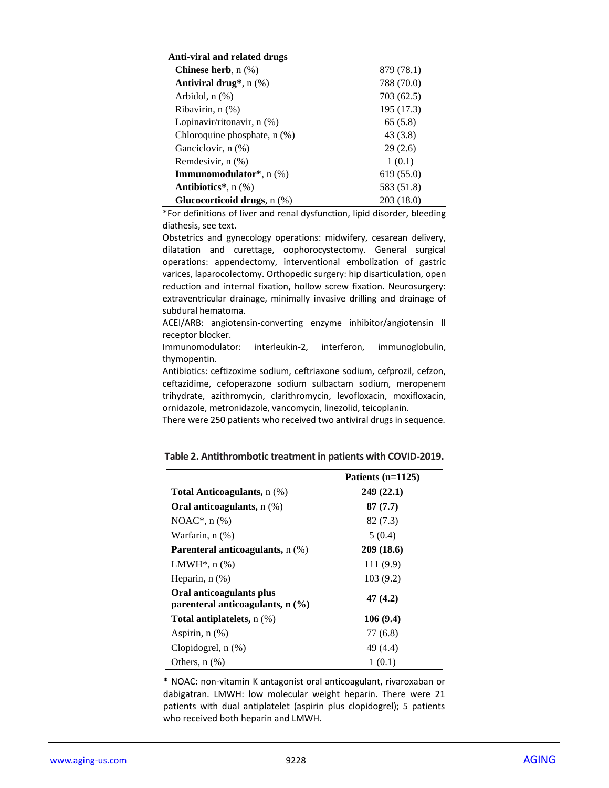| Anti-viral and related drugs                 |            |
|----------------------------------------------|------------|
| <b>Chinese herb</b> , $n$ (%)                | 879 (78.1) |
| <b>Antiviral drug</b> <sup>*</sup> , $n$ (%) | 788 (70.0) |
| Arbidol, $n$ $(\%)$                          | 703 (62.5) |
| Ribavirin, n (%)                             | 195 (17.3) |
| Lopinavir/ritonavir, n (%)                   | 65 (5.8)   |
| Chloroquine phosphate, n (%)                 | 43 (3.8)   |
| Ganciclovir, n (%)                           | 29(2.6)    |
| Remdesivir, n (%)                            | 1(0.1)     |
| <b>Immunomodulator*</b> , $n$ (%)            | 619 (55.0) |
| <b>Antibiotics</b> $^*$ , n $(\%)$           | 583 (51.8) |
| Glucocorticoid drugs, $n$ $(\%)$             | 203(18.0)  |

\*For definitions of liver and renal dysfunction, lipid disorder, bleeding diathesis, see text.

Obstetrics and gynecology operations: midwifery, cesarean delivery, dilatation and curettage, oophorocystectomy. General surgical operations: appendectomy, interventional embolization of gastric varices, laparocolectomy. Orthopedic surgery: hip disarticulation, open reduction and internal fixation, hollow screw fixation. Neurosurgery: extraventricular drainage, minimally invasive drilling and drainage of subdural hematoma.

ACEI/ARB: angiotensin-converting enzyme inhibitor/angiotensin II receptor blocker.

Immunomodulator: interleukin-2, interferon, immunoglobulin, thymopentin.

Antibiotics: ceftizoxime sodium, ceftriaxone sodium, cefprozil, cefzon, ceftazidime, cefoperazone sodium sulbactam sodium, meropenem trihydrate, azithromycin, clarithromycin, levofloxacin, moxifloxacin, ornidazole, metronidazole, vancomycin, linezolid, teicoplanin.

There were 250 patients who received two antiviral drugs in sequence.

|                                                                | Patients (n=1125) |
|----------------------------------------------------------------|-------------------|
| <b>Total Anticoagulants, n (%)</b>                             | 249(22.1)         |
| Oral anticoagulants, $n$ (%)                                   | 87(7.7)           |
| NOAC <sup>*</sup> , $n$ (%)                                    | 82 (7.3)          |
| Warfarin, $n$ $(\%)$                                           | 5(0.4)            |
| <b>Parenteral anticoagulants, n (%)</b>                        | 209(18.6)         |
| LMWH <sup>*</sup> , $n$ $%$                                    | 111(9.9)          |
| Heparin, $n$ $(\%)$                                            | 103(9.2)          |
| Oral anticoagulants plus<br>parenteral anticoagulants, $n$ (%) | 47(4.2)           |
| Total antiplatelets, $n$ $(\%)$                                | 106(9.4)          |
| Aspirin, $n$ $(\%)$                                            | 77 (6.8)          |
| Clopidogrel, $n$ $(\%)$                                        | 49 (4.4)          |
| Others, $n$ $(\%)$                                             | 1(0.1)            |

**Table 2. Antithrombotic treatment in patients with COVID-2019.**

**\*** NOAC: non-vitamin K antagonist oral anticoagulant, rivaroxaban or dabigatran. LMWH: low molecular weight heparin. There were 21 patients with dual antiplatelet (aspirin plus clopidogrel); 5 patients who received both heparin and LMWH.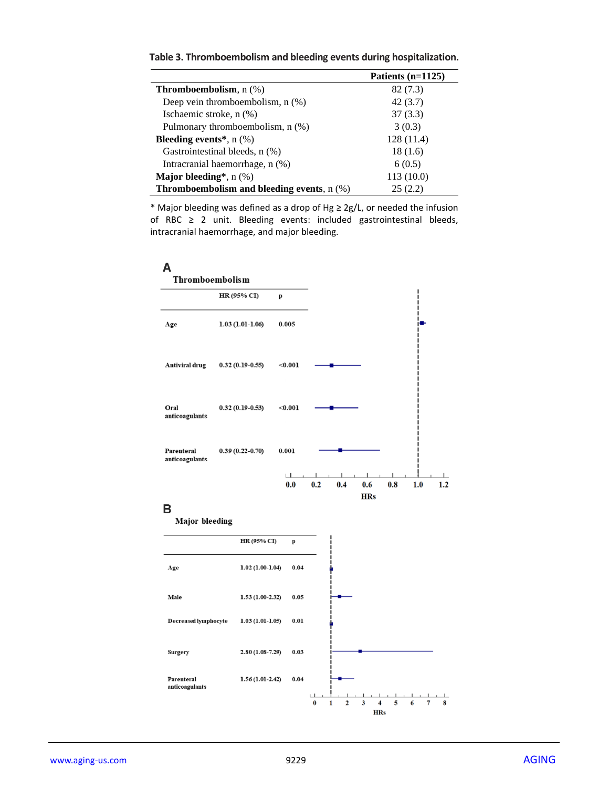|                                                                | Patients $(n=1125)$ |
|----------------------------------------------------------------|---------------------|
| <b>Thromboembolism</b> , $n$ (%)                               | 82 (7.3)            |
| Deep vein thromboembolism, $n$ $(\%)$                          | 42(3.7)             |
| Ischaemic stroke, n (%)                                        | 37(3.3)             |
| Pulmonary thromboembolism, n (%)                               | 3(0.3)              |
| <b>Bleeding events</b> <sup>*</sup> , $n$ (%)                  | 128(11.4)           |
| Gastrointestinal bleeds, n (%)                                 | 18(1.6)             |
| Intracranial haemorrhage, n (%)                                | 6(0.5)              |
| <b>Major bleeding</b> <sup>*</sup> , $n$ (%)                   | 113(10.0)           |
| <b>Thromboembolism and bleeding events, <math>n</math> (%)</b> | 25(2.2)             |

**Table 3. Thromboembolism and bleeding events during hospitalization.**

\* Major bleeding was defined as a drop of Hg ≥ 2g/L, or needed the infusion of RBC  $\geq$  2 unit. Bleeding events: included gastrointestinal bleeds, intracranial haemorrhage, and major bleeding.



## B

**Major** bleeding

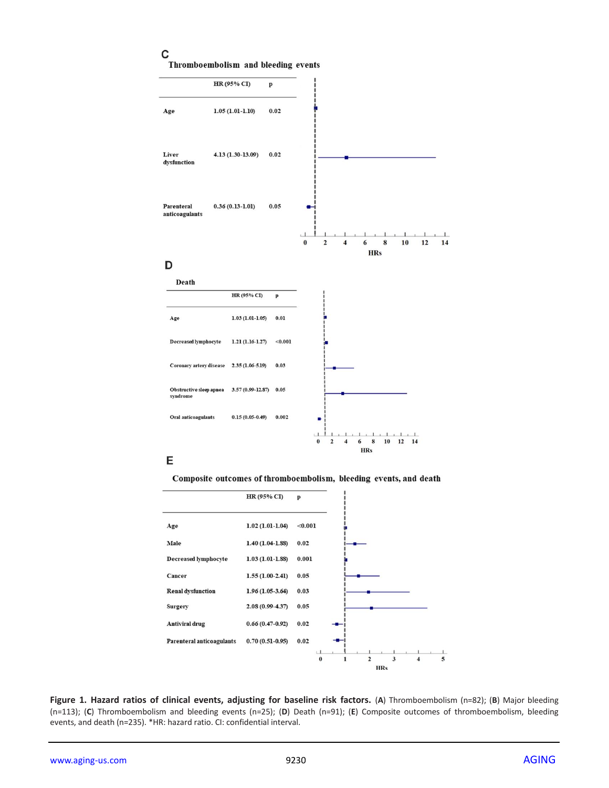## $\mathbf c$

Thromboembolism and bleeding events



## E

Composite outcomes of thromboembolism, bleeding events, and death



**Figure 1. Hazard ratios of clinical events, adjusting for baseline risk factors.** (**A**) Thromboembolism (n=82); (**B**) Major bleeding (n=113); (**C**) Thromboembolism and bleeding events (n=25); (**D**) Death (n=91); (**E**) Composite outcomes of thromboembolism, bleeding events, and death (n=235). \*HR: hazard ratio. CI: confidential interval.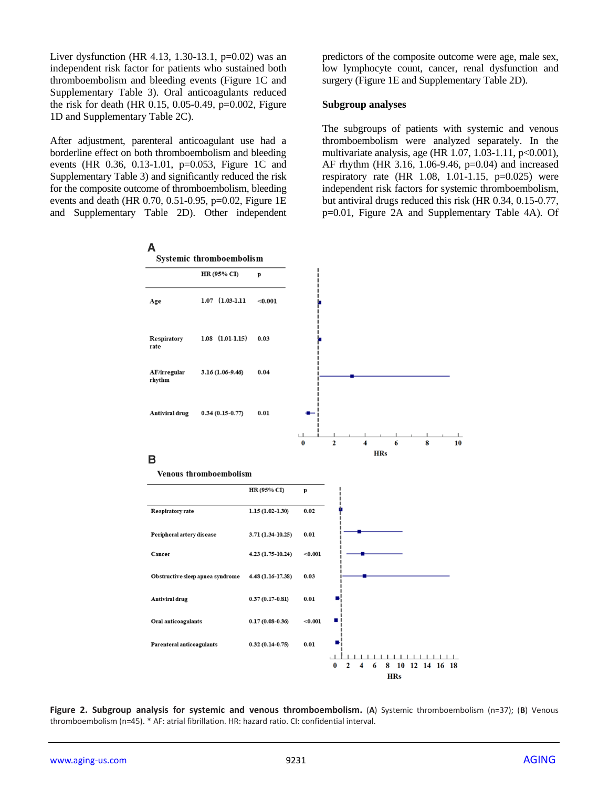Liver dysfunction (HR 4.13, 1.30-13.1,  $p=0.02$ ) was an independent risk factor for patients who sustained both thromboembolism and bleeding events (Figure 1C and Supplementary Table 3). Oral anticoagulants reduced the risk for death (HR 0.15, 0.05-0.49, p=0.002, Figure 1D and Supplementary Table 2C).

After adjustment, parenteral anticoagulant use had a borderline effect on both thromboembolism and bleeding events (HR 0.36, 0.13-1.01, p=0.053, Figure 1C and Supplementary Table 3) and significantly reduced the risk for the composite outcome of thromboembolism, bleeding events and death (HR 0.70, 0.51-0.95, p=0.02, Figure 1E and Supplementary Table 2D). Other independent predictors of the composite outcome were age, male sex, low lymphocyte count, cancer, renal dysfunction and surgery (Figure 1E and Supplementary Table 2D).

#### **Subgroup analyses**

The subgroups of patients with systemic and venous thromboembolism were analyzed separately. In the multivariate analysis, age (HR 1.07, 1.03-1.11, p<0.001), AF rhythm (HR 3.16, 1.06-9.46, p=0.04) and increased respiratory rate  $(HR \ 1.08, 1.01-1.15, p=0.025)$  were independent risk factors for systemic thromboembolism, but antiviral drugs reduced this risk (HR 0.34, 0.15-0.77, p=0.01, Figure 2A and Supplementary Table 4A). Of



**Figure 2. Subgroup analysis for systemic and venous thromboembolism.** (**A**) Systemic thromboembolism (n=37); (**B**) Venous thromboembolism (n=45). \* AF: atrial fibrillation. HR: hazard ratio. CI: confidential interval.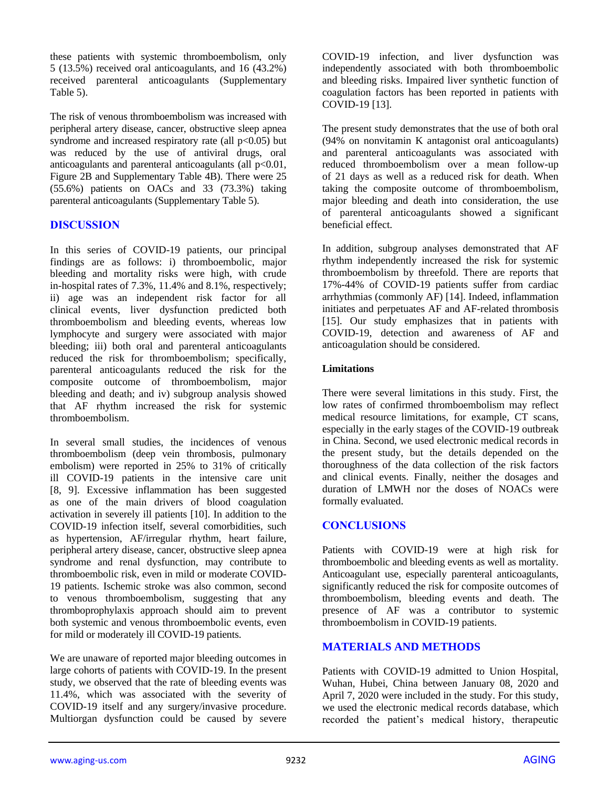these patients with systemic thromboembolism, only 5 (13.5%) received oral anticoagulants, and 16 (43.2%) received parenteral anticoagulants (Supplementary Table 5).

The risk of venous thromboembolism was increased with peripheral artery disease, cancer, obstructive sleep apnea syndrome and increased respiratory rate (all  $p<0.05$ ) but was reduced by the use of antiviral drugs, oral anticoagulants and parenteral anticoagulants (all p<0.01, Figure 2B and Supplementary Table 4B). There were 25 (55.6%) patients on OACs and 33 (73.3%) taking parenteral anticoagulants (Supplementary Table 5).

## **DISCUSSION**

In this series of COVID-19 patients, our principal findings are as follows: i) thromboembolic, major bleeding and mortality risks were high, with crude in-hospital rates of 7.3%, 11.4% and 8.1%, respectively; ii) age was an independent risk factor for all clinical events, liver dysfunction predicted both thromboembolism and bleeding events, whereas low lymphocyte and surgery were associated with major bleeding; iii) both oral and parenteral anticoagulants reduced the risk for thromboembolism; specifically, parenteral anticoagulants reduced the risk for the composite outcome of thromboembolism, major bleeding and death; and iv) subgroup analysis showed that AF rhythm increased the risk for systemic thromboembolism.

In several small studies, the incidences of venous thromboembolism (deep vein thrombosis, pulmonary embolism) were reported in 25% to 31% of critically ill COVID-19 patients in the intensive care unit [8, 9]. Excessive inflammation has been suggested as one of the main drivers of blood coagulation activation in severely ill patients [10]. In addition to the COVID-19 infection itself, several comorbidities, such as hypertension, AF/irregular rhythm, heart failure, peripheral artery disease, cancer, obstructive sleep apnea syndrome and renal dysfunction, may contribute to thromboembolic risk, even in mild or moderate COVID-19 patients. Ischemic stroke was also common, second to venous thromboembolism, suggesting that any thromboprophylaxis approach should aim to prevent both systemic and venous thromboembolic events, even for mild or moderately ill COVID-19 patients.

We are unaware of reported major bleeding outcomes in large cohorts of patients with COVID-19. In the present study, we observed that the rate of bleeding events was 11.4%, which was associated with the severity of COVID-19 itself and any surgery/invasive procedure. Multiorgan dysfunction could be caused by severe

COVID-19 infection, and liver dysfunction was independently associated with both thromboembolic and bleeding risks. Impaired liver synthetic function of coagulation factors has been reported in patients with COVID-19 [13].

The present study demonstrates that the use of both oral (94% on nonvitamin K antagonist oral anticoagulants) and parenteral anticoagulants was associated with reduced thromboembolism over a mean follow-up of 21 days as well as a reduced risk for death. When taking the composite outcome of thromboembolism, major bleeding and death into consideration, the use of parenteral anticoagulants showed a significant beneficial effect.

In addition, subgroup analyses demonstrated that AF rhythm independently increased the risk for systemic thromboembolism by threefold. There are reports that 17%-44% of COVID-19 patients suffer from cardiac arrhythmias (commonly AF) [14]. Indeed, inflammation initiates and perpetuates AF and AF-related thrombosis [15]. Our study emphasizes that in patients with COVID-19, detection and awareness of AF and anticoagulation should be considered.

#### **Limitations**

There were several limitations in this study. First, the low rates of confirmed thromboembolism may reflect medical resource limitations, for example, CT scans, especially in the early stages of the COVID-19 outbreak in China. Second, we used electronic medical records in the present study, but the details depended on the thoroughness of the data collection of the risk factors and clinical events. Finally, neither the dosages and duration of LMWH nor the doses of NOACs were formally evaluated.

#### **CONCLUSIONS**

Patients with COVID-19 were at high risk for thromboembolic and bleeding events as well as mortality. Anticoagulant use, especially parenteral anticoagulants, significantly reduced the risk for composite outcomes of thromboembolism, bleeding events and death. The presence of AF was a contributor to systemic thromboembolism in COVID-19 patients.

#### **MATERIALS AND METHODS**

Patients with COVID-19 admitted to Union Hospital, Wuhan, Hubei, China between January 08, 2020 and April 7, 2020 were included in the study. For this study, we used the electronic medical records database, which recorded the patient's medical history, therapeutic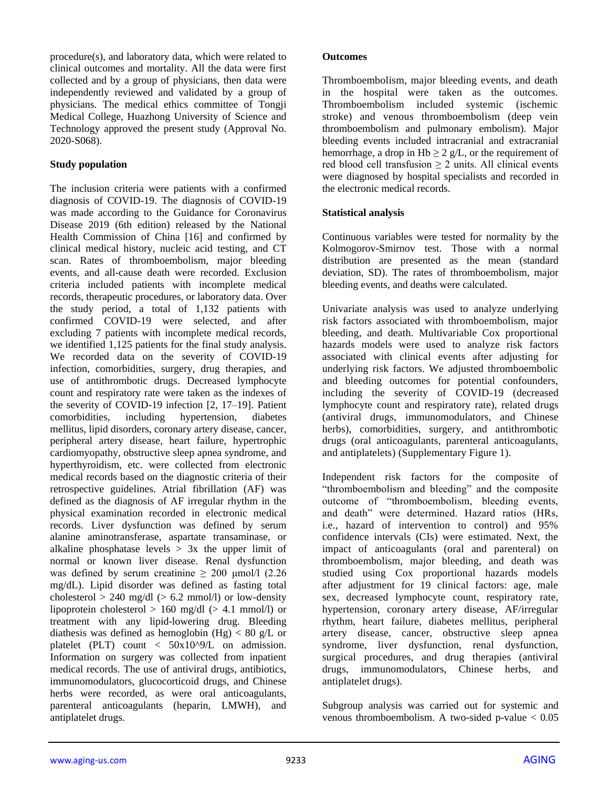procedure(s), and laboratory data, which were related to clinical outcomes and mortality. All the data were first collected and by a group of physicians, then data were independently reviewed and validated by a group of physicians. The medical ethics committee of Tongji Medical College, Huazhong University of Science and Technology approved the present study (Approval No. 2020-S068).

#### **Study population**

The inclusion criteria were patients with a confirmed diagnosis of COVID-19. The diagnosis of COVID-19 was made according to the Guidance for Coronavirus Disease 2019 (6th edition) released by the National Health Commission of China [16] and confirmed by clinical medical history, nucleic acid testing, and CT scan. Rates of thromboembolism, major bleeding events, and all-cause death were recorded. Exclusion criteria included patients with incomplete medical records, therapeutic procedures, or laboratory data. Over the study period, a total of 1,132 patients with confirmed COVID-19 were selected, and after excluding 7 patients with incomplete medical records, we identified 1,125 patients for the final study analysis. We recorded data on the severity of COVID-19 infection, comorbidities, surgery, drug therapies, and use of antithrombotic drugs. Decreased lymphocyte count and respiratory rate were taken as the indexes of the severity of COVID-19 infection [2, 17–19]. Patient comorbidities, including hypertension, diabetes mellitus, lipid disorders, coronary artery disease, cancer, peripheral artery disease, heart failure, hypertrophic cardiomyopathy, obstructive sleep apnea syndrome, and hyperthyroidism, etc. were collected from electronic medical records based on the diagnostic criteria of their retrospective guidelines. Atrial fibrillation (AF) was defined as the diagnosis of AF irregular rhythm in the physical examination recorded in electronic medical records. Liver dysfunction was defined by serum alanine aminotransferase, aspartate transaminase, or alkaline phosphatase levels  $> 3x$  the upper limit of normal or known liver disease. Renal dysfunction was defined by serum creatinine  $\geq 200$  μmol/l (2.26) mg/dL). Lipid disorder was defined as fasting total cholesterol  $> 240$  mg/dl ( $> 6.2$  mmol/l) or low-density lipoprotein cholesterol  $> 160$  mg/dl ( $> 4.1$  mmol/l) or treatment with any lipid-lowering drug. Bleeding diathesis was defined as hemoglobin  $(Hg) < 80$  g/L or platelet (PLT) count < 50x10^9/L on admission. Information on surgery was collected from inpatient medical records. The use of antiviral drugs, antibiotics, immunomodulators, glucocorticoid drugs, and Chinese herbs were recorded, as were oral anticoagulants, parenteral anticoagulants (heparin, LMWH), and antiplatelet drugs.

#### **Outcomes**

Thromboembolism, major bleeding events, and death in the hospital were taken as the outcomes. Thromboembolism included systemic (ischemic stroke) and venous thromboembolism (deep vein thromboembolism and pulmonary embolism). Major bleeding events included intracranial and extracranial hemorrhage, a drop in Hb  $\geq 2$  g/L, or the requirement of red blood cell transfusion  $\geq 2$  units. All clinical events were diagnosed by hospital specialists and recorded in the electronic medical records.

#### **Statistical analysis**

Continuous variables were tested for normality by the Kolmogorov-Smirnov test. Those with a normal distribution are presented as the mean (standard deviation, SD). The rates of thromboembolism, major bleeding events, and deaths were calculated.

Univariate analysis was used to analyze underlying risk factors associated with thromboembolism, major bleeding, and death. Multivariable Cox proportional hazards models were used to analyze risk factors associated with clinical events after adjusting for underlying risk factors. We adjusted thromboembolic and bleeding outcomes for potential confounders, including the severity of COVID-19 (decreased lymphocyte count and respiratory rate), related drugs (antiviral drugs, immunomodulators, and Chinese herbs), comorbidities, surgery, and antithrombotic drugs (oral anticoagulants, parenteral anticoagulants, and antiplatelets) (Supplementary Figure 1).

Independent risk factors for the composite of "thromboembolism and bleeding" and the composite outcome of "thromboembolism, bleeding events, and death" were determined. Hazard ratios (HRs, i.e., hazard of intervention to control) and 95% confidence intervals (CIs) were estimated. Next, the impact of anticoagulants (oral and parenteral) on thromboembolism, major bleeding, and death was studied using Cox proportional hazards models after adjustment for 19 clinical factors: age, male sex, decreased lymphocyte count, respiratory rate, hypertension, coronary artery disease, AF/irregular rhythm, heart failure, diabetes mellitus, peripheral artery disease, cancer, obstructive sleep apnea syndrome, liver dysfunction, renal dysfunction, surgical procedures, and drug therapies (antiviral drugs, immunomodulators, Chinese herbs, and antiplatelet drugs).

Subgroup analysis was carried out for systemic and venous thromboembolism. A two-sided p-value  $< 0.05$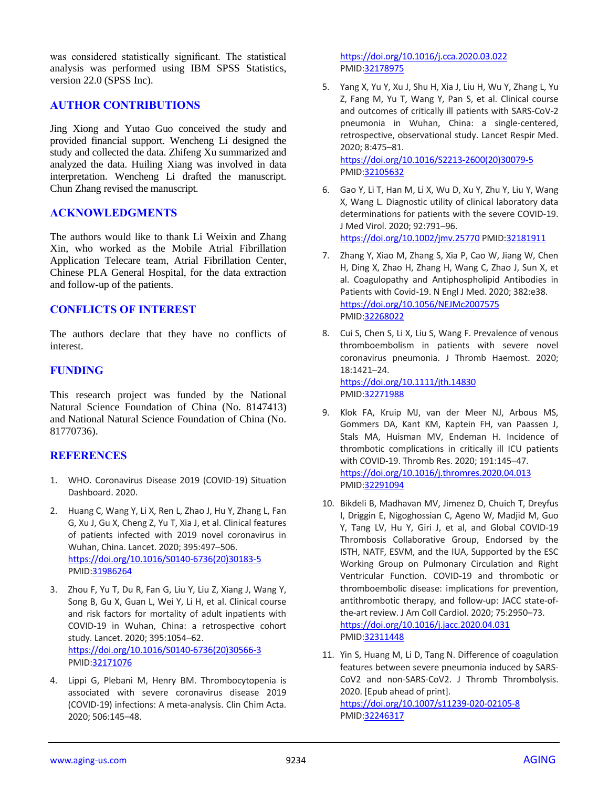was considered statistically significant. The statistical analysis was performed using IBM SPSS Statistics, version 22.0 (SPSS Inc).

#### **AUTHOR CONTRIBUTIONS**

Jing Xiong and Yutao Guo conceived the study and provided financial support. Wencheng Li designed the study and collected the data. Zhifeng Xu summarized and analyzed the data. Huiling Xiang was involved in data interpretation. Wencheng Li drafted the manuscript. Chun Zhang revised the manuscript.

#### **ACKNOWLEDGMENTS**

The authors would like to thank Li Weixin and Zhang Xin, who worked as the Mobile Atrial Fibrillation Application Telecare team, Atrial Fibrillation Center, Chinese PLA General Hospital, for the data extraction and follow-up of the patients.

#### **CONFLICTS OF INTEREST**

The authors declare that they have no conflicts of interest.

#### **FUNDING**

This research project was funded by the National Natural Science Foundation of China (No. 8147413) and National Natural Science Foundation of China (No. 81770736).

#### **REFERENCES**

- 1. WHO. Coronavirus Disease 2019 (COVID-19) Situation Dashboard. 2020.
- 2. Huang C, Wang Y, Li X, Ren L, Zhao J, Hu Y, Zhang L, Fan G, Xu J, Gu X, Cheng Z, Yu T, Xia J, et al. Clinical features of patients infected with 2019 novel coronavirus in Wuhan, China. Lancet. 2020; 395:497–506. [https://doi.org/10.1016/S0140-6736\(20\)30183-5](https://doi.org/10.1016/S0140-6736(20)30183-5) PMID[:31986264](https://pubmed.ncbi.nlm.nih.gov/31986264)
- 3. Zhou F, Yu T, Du R, Fan G, Liu Y, Liu Z, Xiang J, Wang Y, Song B, Gu X, Guan L, Wei Y, Li H, et al. Clinical course and risk factors for mortality of adult inpatients with COVID-19 in Wuhan, China: a retrospective cohort study. Lancet. 2020; 395:1054–62. [https://doi.org/10.1016/S0140-6736\(20\)30566-3](https://doi.org/10.1016/S0140-6736(20)30566-3) PMID[:32171076](https://pubmed.ncbi.nlm.nih.gov/32171076)
- 4. Lippi G, Plebani M, Henry BM. Thrombocytopenia is associated with severe coronavirus disease 2019 (COVID-19) infections: A meta-analysis. Clin Chim Acta. 2020; 506:145–48.

<https://doi.org/10.1016/j.cca.2020.03.022> PMI[D:32178975](https://pubmed.ncbi.nlm.nih.gov/32178975)

- 5. Yang X, Yu Y, Xu J, Shu H, Xia J, Liu H, Wu Y, Zhang L, Yu Z, Fang M, Yu T, Wang Y, Pan S, et al. Clinical course and outcomes of critically ill patients with SARS-CoV-2 pneumonia in Wuhan, China: a single-centered, retrospective, observational study. Lancet Respir Med. 2020; 8:475–81. [https://doi.org/10.1016/S2213-2600\(20\)30079-5](https://doi.org/10.1016/S2213-2600(20)30079-5) PMI[D:32105632](https://pubmed.ncbi.nlm.nih.gov/32105632)
- 6. Gao Y, Li T, Han M, Li X, Wu D, Xu Y, Zhu Y, Liu Y, Wang X, Wang L. Diagnostic utility of clinical laboratory data determinations for patients with the severe COVID-19. J Med Virol. 2020; 92:791–96. <https://doi.org/10.1002/jmv.25770> PMID[:32181911](https://pubmed.ncbi.nlm.nih.gov/32181911)
- 7. Zhang Y, Xiao M, Zhang S, Xia P, Cao W, Jiang W, Chen H, Ding X, Zhao H, Zhang H, Wang C, Zhao J, Sun X, et al. Coagulopathy and Antiphospholipid Antibodies in Patients with Covid-19. N Engl J Med. 2020; 382:e38. <https://doi.org/10.1056/NEJMc2007575> PMI[D:32268022](https://pubmed.ncbi.nlm.nih.gov/32268022)
- 8. Cui S, Chen S, Li X, Liu S, Wang F. Prevalence of venous thromboembolism in patients with severe novel coronavirus pneumonia. J Thromb Haemost. 2020; 18:1421–24. <https://doi.org/10.1111/jth.14830> PMI[D:32271988](https://pubmed.ncbi.nlm.nih.gov/32271988)
- 9. Klok FA, Kruip MJ, van der Meer NJ, Arbous MS, Gommers DA, Kant KM, Kaptein FH, van Paassen J, Stals MA, Huisman MV, Endeman H. Incidence of thrombotic complications in critically ill ICU patients with COVID-19. Thromb Res. 2020; 191:145–47. <https://doi.org/10.1016/j.thromres.2020.04.013> PMI[D:32291094](https://pubmed.ncbi.nlm.nih.gov/32291094)
- 10. Bikdeli B, Madhavan MV, Jimenez D, Chuich T, Dreyfus I, Driggin E, Nigoghossian C, Ageno W, Madjid M, Guo Y, Tang LV, Hu Y, Giri J, et al, and Global COVID-19 Thrombosis Collaborative Group, Endorsed by the ISTH, NATF, ESVM, and the IUA, Supported by the ESC Working Group on Pulmonary Circulation and Right Ventricular Function. COVID-19 and thrombotic or thromboembolic disease: implications for prevention, antithrombotic therapy, and follow-up: JACC state-ofthe-art review. J Am Coll Cardiol. 2020; 75:2950–73. <https://doi.org/10.1016/j.jacc.2020.04.031> PMI[D:32311448](https://pubmed.ncbi.nlm.nih.gov/32311448)
- 11. Yin S, Huang M, Li D, Tang N. Difference of coagulation features between severe pneumonia induced by SARS-CoV2 and non-SARS-CoV2. J Thromb Thrombolysis. 2020. [Epub ahead of print]. <https://doi.org/10.1007/s11239-020-02105-8> PMI[D:32246317](https://pubmed.ncbi.nlm.nih.gov/32246317)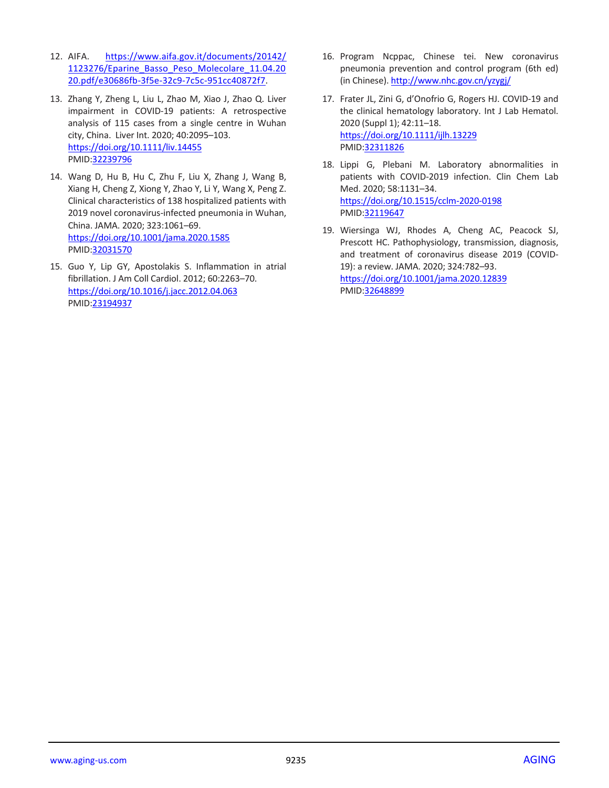- 12. AIFA. [https://www.aifa.gov.it/documents/20142/](https://www.aifa.gov.it/documents/20142/1123276/Eparine_Basso_Peso_Molecolare_11.04.2020.pdf/e30686fb-3f5e-32c9-7c5c-951cc40872f7) [1123276/Eparine\\_Basso\\_Peso\\_Molecolare\\_11.04.20](https://www.aifa.gov.it/documents/20142/1123276/Eparine_Basso_Peso_Molecolare_11.04.2020.pdf/e30686fb-3f5e-32c9-7c5c-951cc40872f7) [20.pdf/e30686fb-3f5e-32c9-7c5c-951cc40872f7.](https://www.aifa.gov.it/documents/20142/1123276/Eparine_Basso_Peso_Molecolare_11.04.2020.pdf/e30686fb-3f5e-32c9-7c5c-951cc40872f7)
- 13. Zhang Y, Zheng L, Liu L, Zhao M, Xiao J, Zhao Q. Liver impairment in COVID-19 patients: A retrospective analysis of 115 cases from a single centre in Wuhan city, China. Liver Int. 2020; 40:2095–103. <https://doi.org/10.1111/liv.14455> PMID[:32239796](https://pubmed.ncbi.nlm.nih.gov/32239796)
- 14. Wang D, Hu B, Hu C, Zhu F, Liu X, Zhang J, Wang B, Xiang H, Cheng Z, Xiong Y, Zhao Y, Li Y, Wang X, Peng Z. Clinical characteristics of 138 hospitalized patients with 2019 novel coronavirus-infected pneumonia in Wuhan, China. JAMA. 2020; 323:1061–69. <https://doi.org/10.1001/jama.2020.1585> PMID[:32031570](https://pubmed.ncbi.nlm.nih.gov/32031570)
- 15. Guo Y, Lip GY, Apostolakis S. Inflammation in atrial fibrillation. J Am Coll Cardiol. 2012; 60:2263–70. <https://doi.org/10.1016/j.jacc.2012.04.063> PMID[:23194937](https://pubmed.ncbi.nlm.nih.gov/23194937)
- 16. Program Ncppac, Chinese tei. New coronavirus pneumonia prevention and control program (6th ed) (in Chinese)[. http://www.nhc.gov.cn/yzygj/](http://www.nhc.gov.cn/yzygj/)
- 17. Frater JL, Zini G, d'Onofrio G, Rogers HJ. COVID-19 and the clinical hematology laboratory. Int J Lab Hematol. 2020 (Suppl 1); 42:11–18. <https://doi.org/10.1111/ijlh.13229> PMI[D:32311826](https://pubmed.ncbi.nlm.nih.gov/32311826)
- 18. Lippi G, Plebani M. Laboratory abnormalities in patients with COVID-2019 infection. Clin Chem Lab Med. 2020; 58:1131–34. <https://doi.org/10.1515/cclm-2020-0198> PMI[D:32119647](https://pubmed.ncbi.nlm.nih.gov/32119647)
- 19. Wiersinga WJ, Rhodes A, Cheng AC, Peacock SJ, Prescott HC. Pathophysiology, transmission, diagnosis, and treatment of coronavirus disease 2019 (COVID-19): a review. JAMA. 2020; 324:782–93. <https://doi.org/10.1001/jama.2020.12839> PMI[D:32648899](https://pubmed.ncbi.nlm.nih.gov/32648899)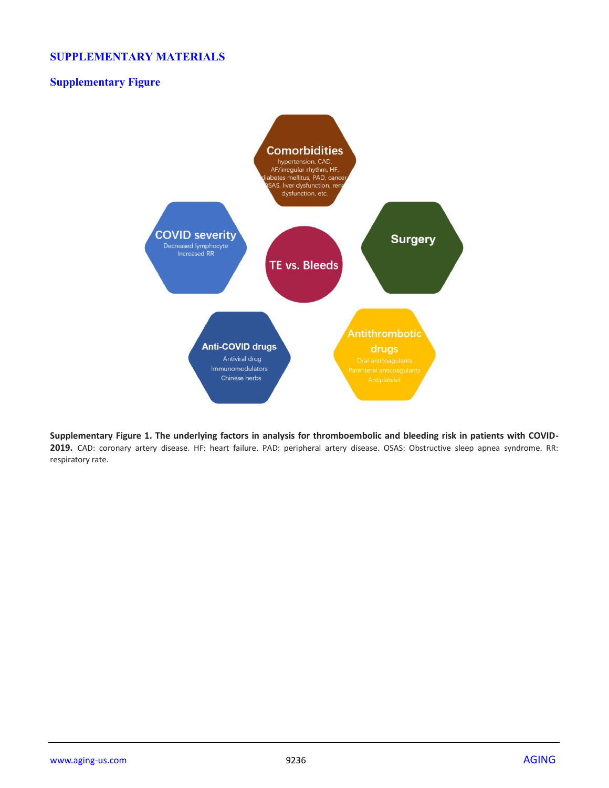#### **SUPPLEMENTARY MATERIALS**

## **Supplementary Figure**



**Supplementary Figure 1. The underlying factors in analysis for thromboembolic and bleeding risk in patients with COVID-2019.** CAD: coronary artery disease. HF: heart failure. PAD: peripheral artery disease. OSAS: Obstructive sleep apnea syndrome. RR: respiratory rate.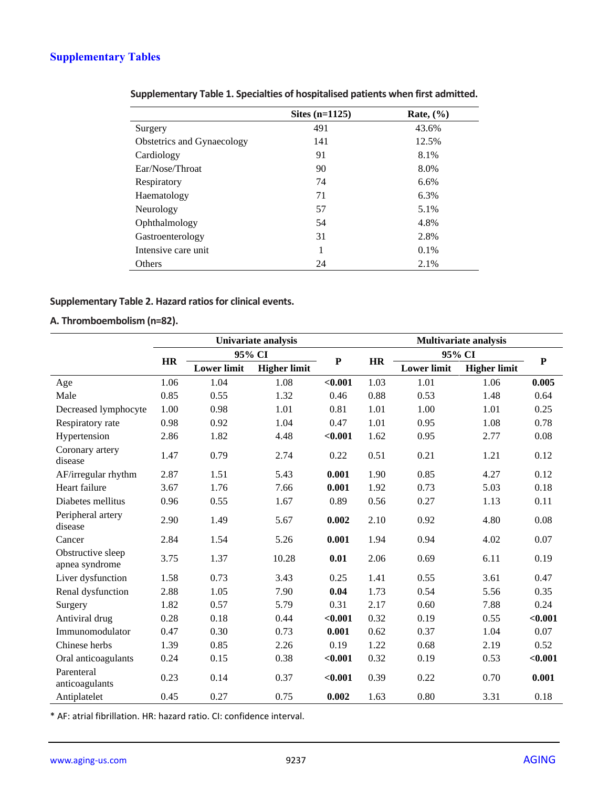# **Supplementary Tables**

|                            | Sites $(n=1125)$ | Rate, $(\%$ |
|----------------------------|------------------|-------------|
| Surgery                    | 491              | 43.6%       |
| Obstetrics and Gynaecology | 141              | 12.5%       |
| Cardiology                 | 91               | 8.1%        |
| Ear/Nose/Throat            | 90               | 8.0%        |
| Respiratory                | 74               | 6.6%        |
| Haematology                | 71               | 6.3%        |
| Neurology                  | 57               | 5.1%        |
| Ophthalmology              | 54               | 4.8%        |
| Gastroenterology           | 31               | 2.8%        |
| Intensive care unit        | 1                | 0.1%        |
| Others                     | 24               | 2.1%        |

| Supplementary Table 1. Specialties of hospitalised patients when first admitted. |
|----------------------------------------------------------------------------------|
|----------------------------------------------------------------------------------|

## **Supplementary Table 2. Hazard ratios for clinical events.**

## **A. Thromboembolism (n=82).**

|                                     |           |                    | Univariate analysis |              |           | <b>Multivariate analysis</b> |                     |           |  |  |
|-------------------------------------|-----------|--------------------|---------------------|--------------|-----------|------------------------------|---------------------|-----------|--|--|
|                                     |           |                    | 95% CI              |              |           | 95% CI                       |                     |           |  |  |
|                                     | <b>HR</b> | <b>Lower limit</b> | <b>Higher limit</b> | $\mathbf{P}$ | <b>HR</b> | <b>Lower limit</b>           | <b>Higher limit</b> | ${\bf P}$ |  |  |
| Age                                 | 1.06      | 1.04               | 1.08                | < 0.001      | 1.03      | 1.01                         | 1.06                | 0.005     |  |  |
| Male                                | 0.85      | 0.55               | 1.32                | 0.46         | 0.88      | 0.53                         | 1.48                | 0.64      |  |  |
| Decreased lymphocyte                | 1.00      | 0.98               | 1.01                | 0.81         | 1.01      | 1.00                         | 1.01                | 0.25      |  |  |
| Respiratory rate                    | 0.98      | 0.92               | 1.04                | 0.47         | 1.01      | 0.95                         | 1.08                | 0.78      |  |  |
| Hypertension                        | 2.86      | 1.82               | 4.48                | < 0.001      | 1.62      | 0.95                         | 2.77                | 0.08      |  |  |
| Coronary artery<br>disease          | 1.47      | 0.79               | 2.74                | 0.22         | 0.51      | 0.21                         | 1.21                | 0.12      |  |  |
| AF/irregular rhythm                 | 2.87      | 1.51               | 5.43                | 0.001        | 1.90      | 0.85                         | 4.27                | 0.12      |  |  |
| Heart failure                       | 3.67      | 1.76               | 7.66                | 0.001        | 1.92      | 0.73                         | 5.03                | 0.18      |  |  |
| Diabetes mellitus                   | 0.96      | 0.55               | 1.67                | 0.89         | 0.56      | 0.27                         | 1.13                | 0.11      |  |  |
| Peripheral artery<br>disease        | 2.90      | 1.49               | 5.67                | 0.002        | 2.10      | 0.92                         | 4.80                | 0.08      |  |  |
| Cancer                              | 2.84      | 1.54               | 5.26                | 0.001        | 1.94      | 0.94                         | 4.02                | 0.07      |  |  |
| Obstructive sleep<br>apnea syndrome | 3.75      | 1.37               | 10.28               | 0.01         | 2.06      | 0.69                         | 6.11                | 0.19      |  |  |
| Liver dysfunction                   | 1.58      | 0.73               | 3.43                | 0.25         | 1.41      | 0.55                         | 3.61                | 0.47      |  |  |
| Renal dysfunction                   | 2.88      | 1.05               | 7.90                | 0.04         | 1.73      | 0.54                         | 5.56                | 0.35      |  |  |
| Surgery                             | 1.82      | 0.57               | 5.79                | 0.31         | 2.17      | 0.60                         | 7.88                | 0.24      |  |  |
| Antiviral drug                      | 0.28      | 0.18               | 0.44                | < 0.001      | 0.32      | 0.19                         | 0.55                | < 0.001   |  |  |
| Immunomodulator                     | 0.47      | 0.30               | 0.73                | 0.001        | 0.62      | 0.37                         | 1.04                | 0.07      |  |  |
| Chinese herbs                       | 1.39      | 0.85               | 2.26                | 0.19         | 1.22      | 0.68                         | 2.19                | 0.52      |  |  |
| Oral anticoagulants                 | 0.24      | 0.15               | 0.38                | < 0.001      | 0.32      | 0.19                         | 0.53                | < 0.001   |  |  |
| Parenteral<br>anticoagulants        | 0.23      | 0.14               | 0.37                | < 0.001      | 0.39      | 0.22                         | 0.70                | 0.001     |  |  |
| Antiplatelet                        | 0.45      | 0.27               | 0.75                | 0.002        | 1.63      | 0.80                         | 3.31                | 0.18      |  |  |

\* AF: atrial fibrillation. HR: hazard ratio. CI: confidence interval.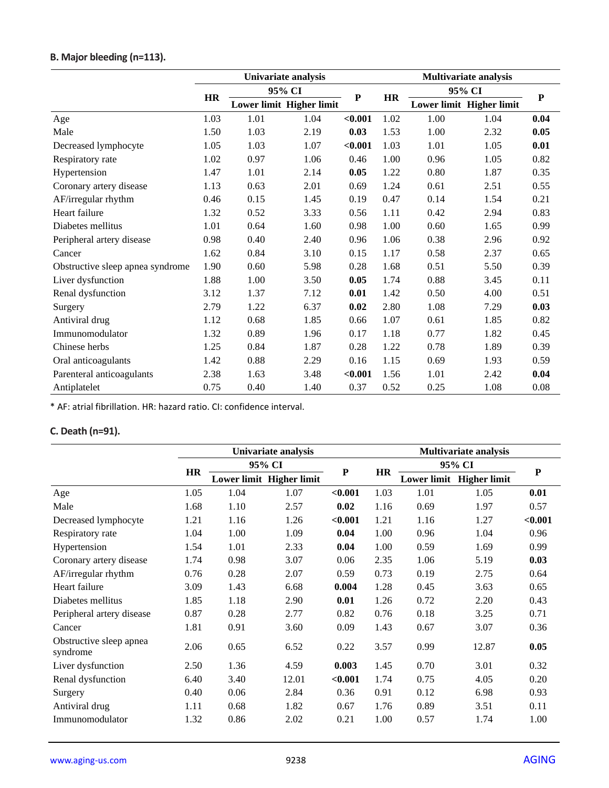# **B. Major bleeding (n=113).**

|                                  | Univariate analysis |        |                          |           |           | <b>Multivariate analysis</b> |                          |           |  |
|----------------------------------|---------------------|--------|--------------------------|-----------|-----------|------------------------------|--------------------------|-----------|--|
|                                  |                     | 95% CI |                          | ${\bf P}$ |           | 95% CI                       |                          | ${\bf P}$ |  |
|                                  | <b>HR</b>           |        | Lower limit Higher limit |           | <b>HR</b> |                              | Lower limit Higher limit |           |  |
| Age                              | 1.03                | 1.01   | 1.04                     | < 0.001   | 1.02      | 1.00                         | 1.04                     | 0.04      |  |
| Male                             | 1.50                | 1.03   | 2.19                     | 0.03      | 1.53      | 1.00                         | 2.32                     | 0.05      |  |
| Decreased lymphocyte             | 1.05                | 1.03   | 1.07                     | $0.001$   | 1.03      | 1.01                         | 1.05                     | 0.01      |  |
| Respiratory rate                 | 1.02                | 0.97   | 1.06                     | 0.46      | 1.00      | 0.96                         | 1.05                     | 0.82      |  |
| Hypertension                     | 1.47                | 1.01   | 2.14                     | 0.05      | 1.22      | 0.80                         | 1.87                     | 0.35      |  |
| Coronary artery disease          | 1.13                | 0.63   | 2.01                     | 0.69      | 1.24      | 0.61                         | 2.51                     | 0.55      |  |
| AF/irregular rhythm              | 0.46                | 0.15   | 1.45                     | 0.19      | 0.47      | 0.14                         | 1.54                     | 0.21      |  |
| Heart failure                    | 1.32                | 0.52   | 3.33                     | 0.56      | 1.11      | 0.42                         | 2.94                     | 0.83      |  |
| Diabetes mellitus                | 1.01                | 0.64   | 1.60                     | 0.98      | 1.00      | 0.60                         | 1.65                     | 0.99      |  |
| Peripheral artery disease        | 0.98                | 0.40   | 2.40                     | 0.96      | 1.06      | 0.38                         | 2.96                     | 0.92      |  |
| Cancer                           | 1.62                | 0.84   | 3.10                     | 0.15      | 1.17      | 0.58                         | 2.37                     | 0.65      |  |
| Obstructive sleep apnea syndrome | 1.90                | 0.60   | 5.98                     | 0.28      | 1.68      | 0.51                         | 5.50                     | 0.39      |  |
| Liver dysfunction                | 1.88                | 1.00   | 3.50                     | 0.05      | 1.74      | 0.88                         | 3.45                     | 0.11      |  |
| Renal dysfunction                | 3.12                | 1.37   | 7.12                     | 0.01      | 1.42      | 0.50                         | 4.00                     | 0.51      |  |
| Surgery                          | 2.79                | 1.22   | 6.37                     | 0.02      | 2.80      | 1.08                         | 7.29                     | 0.03      |  |
| Antiviral drug                   | 1.12                | 0.68   | 1.85                     | 0.66      | 1.07      | 0.61                         | 1.85                     | 0.82      |  |
| Immunomodulator                  | 1.32                | 0.89   | 1.96                     | 0.17      | 1.18      | 0.77                         | 1.82                     | 0.45      |  |
| Chinese herbs                    | 1.25                | 0.84   | 1.87                     | 0.28      | 1.22      | 0.78                         | 1.89                     | 0.39      |  |
| Oral anticoagulants              | 1.42                | 0.88   | 2.29                     | 0.16      | 1.15      | 0.69                         | 1.93                     | 0.59      |  |
| Parenteral anticoagulants        | 2.38                | 1.63   | 3.48                     | $0.001$   | 1.56      | 1.01                         | 2.42                     | 0.04      |  |
| Antiplatelet                     | 0.75                | 0.40   | 1.40                     | 0.37      | 0.52      | 0.25                         | 1.08                     | 0.08      |  |

\* AF: atrial fibrillation. HR: hazard ratio. CI: confidence interval.

## **C. Death (n=91).**

|                                     | Univariate analysis |      |                          |           |           | <b>Multivariate analysis</b> |                     |           |  |  |
|-------------------------------------|---------------------|------|--------------------------|-----------|-----------|------------------------------|---------------------|-----------|--|--|
|                                     | <b>HR</b>           |      | 95% CI                   | ${\bf P}$ | <b>HR</b> |                              | 95% CI              | ${\bf P}$ |  |  |
|                                     |                     |      | Lower limit Higher limit |           |           | <b>Lower limit</b>           | <b>Higher limit</b> |           |  |  |
| Age                                 | 1.05                | 1.04 | 1.07                     | $0.001$   | 1.03      | 1.01                         | 1.05                | 0.01      |  |  |
| Male                                | 1.68                | 1.10 | 2.57                     | 0.02      | 1.16      | 0.69                         | 1.97                | 0.57      |  |  |
| Decreased lymphocyte                | 1.21                | 1.16 | 1.26                     | < 0.001   | 1.21      | 1.16                         | 1.27                | < 0.001   |  |  |
| Respiratory rate                    | 1.04                | 1.00 | 1.09                     | 0.04      | 1.00      | 0.96                         | 1.04                | 0.96      |  |  |
| Hypertension                        | 1.54                | 1.01 | 2.33                     | 0.04      | 1.00      | 0.59                         | 1.69                | 0.99      |  |  |
| Coronary artery disease             | 1.74                | 0.98 | 3.07                     | 0.06      | 2.35      | 1.06                         | 5.19                | 0.03      |  |  |
| AF/irregular rhythm                 | 0.76                | 0.28 | 2.07                     | 0.59      | 0.73      | 0.19                         | 2.75                | 0.64      |  |  |
| Heart failure                       | 3.09                | 1.43 | 6.68                     | 0.004     | 1.28      | 0.45                         | 3.63                | 0.65      |  |  |
| Diabetes mellitus                   | 1.85                | 1.18 | 2.90                     | 0.01      | 1.26      | 0.72                         | 2.20                | 0.43      |  |  |
| Peripheral artery disease           | 0.87                | 0.28 | 2.77                     | 0.82      | 0.76      | 0.18                         | 3.25                | 0.71      |  |  |
| Cancer                              | 1.81                | 0.91 | 3.60                     | 0.09      | 1.43      | 0.67                         | 3.07                | 0.36      |  |  |
| Obstructive sleep apnea<br>syndrome | 2.06                | 0.65 | 6.52                     | 0.22      | 3.57      | 0.99                         | 12.87               | 0.05      |  |  |
| Liver dysfunction                   | 2.50                | 1.36 | 4.59                     | 0.003     | 1.45      | 0.70                         | 3.01                | 0.32      |  |  |
| Renal dysfunction                   | 6.40                | 3.40 | 12.01                    | < 0.001   | 1.74      | 0.75                         | 4.05                | 0.20      |  |  |
| Surgery                             | 0.40                | 0.06 | 2.84                     | 0.36      | 0.91      | 0.12                         | 6.98                | 0.93      |  |  |
| Antiviral drug                      | 1.11                | 0.68 | 1.82                     | 0.67      | 1.76      | 0.89                         | 3.51                | 0.11      |  |  |
| Immunomodulator                     | 1.32                | 0.86 | 2.02                     | 0.21      | 1.00      | 0.57                         | 1.74                | 1.00      |  |  |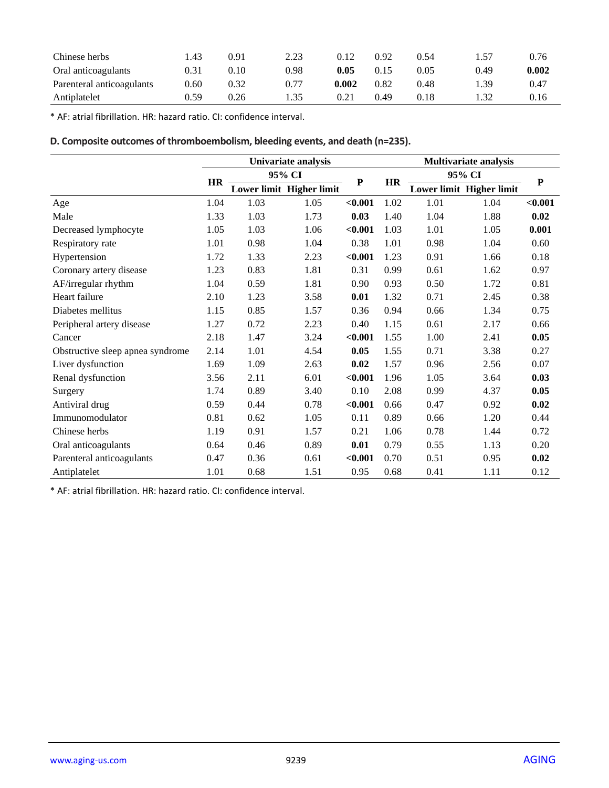| Chinese herbs             | .43  | 0.91 | 2.23 | 0.12  | 0.92 | 0.54 |      | 0.76  |
|---------------------------|------|------|------|-------|------|------|------|-------|
| Oral anticoagulants       | 0.31 | 0.10 | 0.98 | 0.05  | 0.15 | 0.05 | 0.49 | 0.002 |
| Parenteral anticoagulants | 0.60 | 0.32 | 0.77 | 0.002 | 0.82 | 0.48 | .39  | 0.47  |
| Antiplatelet              | 0.59 | 0.26 | 1.35 | 0.21  | 0.49 | 0.18 | l.32 | 0.16  |

\* AF: atrial fibrillation. HR: hazard ratio. CI: confidence interval.

## **D. Composite outcomes of thromboembolism, bleeding events, and death (n=235).**

|                                  | Univariate analysis |        |                          |           |           | <b>Multivariate analysis</b> |                          |           |  |
|----------------------------------|---------------------|--------|--------------------------|-----------|-----------|------------------------------|--------------------------|-----------|--|
|                                  |                     | 95% CI |                          |           |           | 95% CI                       |                          |           |  |
|                                  | <b>HR</b>           |        | Lower limit Higher limit | ${\bf P}$ | <b>HR</b> |                              | Lower limit Higher limit | ${\bf P}$ |  |
| Age                              | 1.04                | 1.03   | 1.05                     | < 0.001   | 1.02      | 1.01                         | 1.04                     | < 0.001   |  |
| Male                             | 1.33                | 1.03   | 1.73                     | 0.03      | 1.40      | 1.04                         | 1.88                     | 0.02      |  |
| Decreased lymphocyte             | 1.05                | 1.03   | 1.06                     | $0.001$   | 1.03      | 1.01                         | 1.05                     | 0.001     |  |
| Respiratory rate                 | 1.01                | 0.98   | 1.04                     | 0.38      | 1.01      | 0.98                         | 1.04                     | 0.60      |  |
| Hypertension                     | 1.72                | 1.33   | 2.23                     | $0.001$   | 1.23      | 0.91                         | 1.66                     | 0.18      |  |
| Coronary artery disease          | 1.23                | 0.83   | 1.81                     | 0.31      | 0.99      | 0.61                         | 1.62                     | 0.97      |  |
| AF/irregular rhythm              | 1.04                | 0.59   | 1.81                     | 0.90      | 0.93      | 0.50                         | 1.72                     | 0.81      |  |
| Heart failure                    | 2.10                | 1.23   | 3.58                     | 0.01      | 1.32      | 0.71                         | 2.45                     | 0.38      |  |
| Diabetes mellitus                | 1.15                | 0.85   | 1.57                     | 0.36      | 0.94      | 0.66                         | 1.34                     | 0.75      |  |
| Peripheral artery disease        | 1.27                | 0.72   | 2.23                     | 0.40      | 1.15      | 0.61                         | 2.17                     | 0.66      |  |
| Cancer                           | 2.18                | 1.47   | 3.24                     | $0.001$   | 1.55      | 1.00                         | 2.41                     | 0.05      |  |
| Obstructive sleep apnea syndrome | 2.14                | 1.01   | 4.54                     | 0.05      | 1.55      | 0.71                         | 3.38                     | 0.27      |  |
| Liver dysfunction                | 1.69                | 1.09   | 2.63                     | 0.02      | 1.57      | 0.96                         | 2.56                     | 0.07      |  |
| Renal dysfunction                | 3.56                | 2.11   | 6.01                     | $0.001$   | 1.96      | 1.05                         | 3.64                     | 0.03      |  |
| Surgery                          | 1.74                | 0.89   | 3.40                     | 0.10      | 2.08      | 0.99                         | 4.37                     | 0.05      |  |
| Antiviral drug                   | 0.59                | 0.44   | 0.78                     | $0.001$   | 0.66      | 0.47                         | 0.92                     | 0.02      |  |
| Immunomodulator                  | 0.81                | 0.62   | 1.05                     | 0.11      | 0.89      | 0.66                         | 1.20                     | 0.44      |  |
| Chinese herbs                    | 1.19                | 0.91   | 1.57                     | 0.21      | 1.06      | 0.78                         | 1.44                     | 0.72      |  |
| Oral anticoagulants              | 0.64                | 0.46   | 0.89                     | 0.01      | 0.79      | 0.55                         | 1.13                     | 0.20      |  |
| Parenteral anticoagulants        | 0.47                | 0.36   | 0.61                     | $0.001$   | 0.70      | 0.51                         | 0.95                     | 0.02      |  |
| Antiplatelet                     | 1.01                | 0.68   | 1.51                     | 0.95      | 0.68      | 0.41                         | 1.11                     | 0.12      |  |

\* AF: atrial fibrillation. HR: hazard ratio. CI: confidence interval.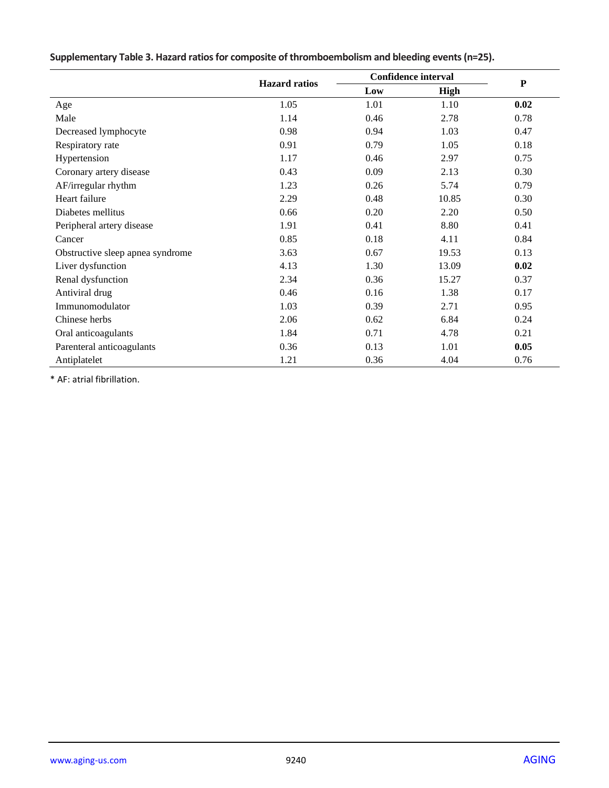|                                  |                      | <b>Confidence interval</b> |             |           |
|----------------------------------|----------------------|----------------------------|-------------|-----------|
|                                  | <b>Hazard</b> ratios | Low                        | <b>High</b> | ${\bf P}$ |
| Age                              | 1.05                 | 1.01                       | 1.10        | 0.02      |
| Male                             | 1.14                 | 0.46                       | 2.78        | 0.78      |
| Decreased lymphocyte             | 0.98                 | 0.94                       | 1.03        | 0.47      |
| Respiratory rate                 | 0.91                 | 0.79                       | 1.05        | 0.18      |
| Hypertension                     | 1.17                 | 0.46                       | 2.97        | 0.75      |
| Coronary artery disease          | 0.43                 | 0.09                       | 2.13        | 0.30      |
| AF/irregular rhythm              | 1.23                 | 0.26                       | 5.74        | 0.79      |
| Heart failure                    | 2.29                 | 0.48                       | 10.85       | 0.30      |
| Diabetes mellitus                | 0.66                 | 0.20                       | 2.20        | 0.50      |
| Peripheral artery disease        | 1.91                 | 0.41                       | 8.80        | 0.41      |
| Cancer                           | 0.85                 | 0.18                       | 4.11        | 0.84      |
| Obstructive sleep apnea syndrome | 3.63                 | 0.67                       | 19.53       | 0.13      |
| Liver dysfunction                | 4.13                 | 1.30                       | 13.09       | 0.02      |
| Renal dysfunction                | 2.34                 | 0.36                       | 15.27       | 0.37      |
| Antiviral drug                   | 0.46                 | 0.16                       | 1.38        | 0.17      |
| Immunomodulator                  | 1.03                 | 0.39                       | 2.71        | 0.95      |
| Chinese herbs                    | 2.06                 | 0.62                       | 6.84        | 0.24      |
| Oral anticoagulants              | 1.84                 | 0.71                       | 4.78        | 0.21      |
| Parenteral anticoagulants        | 0.36                 | 0.13                       | 1.01        | 0.05      |
| Antiplatelet                     | 1.21                 | 0.36                       | 4.04        | 0.76      |

**Supplementary Table 3. Hazard ratios for composite of thromboembolism and bleeding events (n=25).**

\* AF: atrial fibrillation.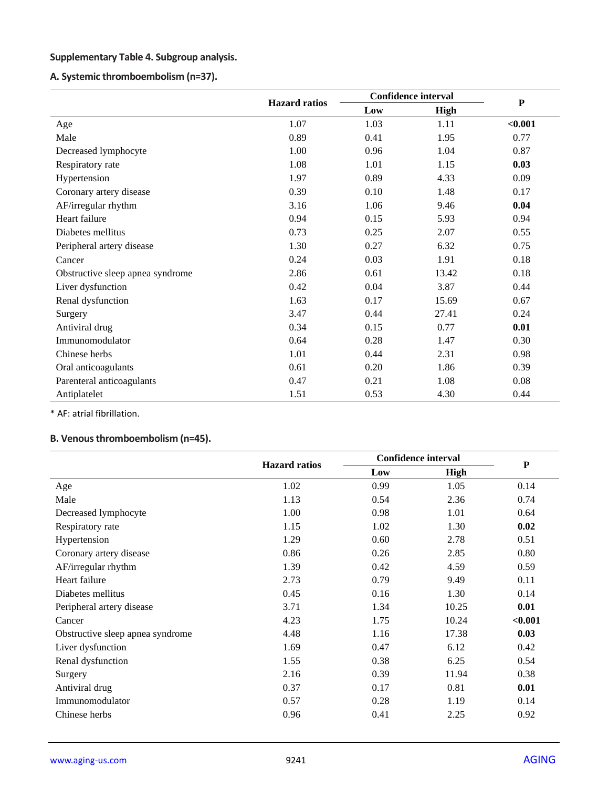## **Supplementary Table 4. Subgroup analysis.**

## **A. Systemic thromboembolism (n=37).**

|                                  |                      | <b>Confidence interval</b> |       |           |
|----------------------------------|----------------------|----------------------------|-------|-----------|
|                                  | <b>Hazard</b> ratios | Low                        | High  | ${\bf P}$ |
| Age                              | 1.07                 | 1.03                       | 1.11  | < 0.001   |
| Male                             | 0.89                 | 0.41                       | 1.95  | 0.77      |
| Decreased lymphocyte             | 1.00                 | 0.96                       | 1.04  | 0.87      |
| Respiratory rate                 | 1.08                 | 1.01                       | 1.15  | 0.03      |
| Hypertension                     | 1.97                 | 0.89                       | 4.33  | 0.09      |
| Coronary artery disease          | 0.39                 | 0.10                       | 1.48  | 0.17      |
| AF/irregular rhythm              | 3.16                 | 1.06                       | 9.46  | 0.04      |
| Heart failure                    | 0.94                 | 0.15                       | 5.93  | 0.94      |
| Diabetes mellitus                | 0.73                 | 0.25                       | 2.07  | 0.55      |
| Peripheral artery disease        | 1.30                 | 0.27                       | 6.32  | 0.75      |
| Cancer                           | 0.24                 | 0.03                       | 1.91  | 0.18      |
| Obstructive sleep apnea syndrome | 2.86                 | 0.61                       | 13.42 | 0.18      |
| Liver dysfunction                | 0.42                 | 0.04                       | 3.87  | 0.44      |
| Renal dysfunction                | 1.63                 | 0.17                       | 15.69 | 0.67      |
| Surgery                          | 3.47                 | 0.44                       | 27.41 | 0.24      |
| Antiviral drug                   | 0.34                 | 0.15                       | 0.77  | 0.01      |
| Immunomodulator                  | 0.64                 | 0.28                       | 1.47  | 0.30      |
| Chinese herbs                    | 1.01                 | 0.44                       | 2.31  | 0.98      |
| Oral anticoagulants              | 0.61                 | 0.20                       | 1.86  | 0.39      |
| Parenteral anticoagulants        | 0.47                 | 0.21                       | 1.08  | 0.08      |
| Antiplatelet                     | 1.51                 | 0.53                       | 4.30  | 0.44      |

\* AF: atrial fibrillation.

## **B. Venous thromboembolism (n=45).**

|                                  | <b>Hazard</b> ratios | <b>Confidence interval</b> |             |           |
|----------------------------------|----------------------|----------------------------|-------------|-----------|
|                                  |                      | Low                        | <b>High</b> | ${\bf P}$ |
| Age                              | 1.02                 | 0.99                       | 1.05        | 0.14      |
| Male                             | 1.13                 | 0.54                       | 2.36        | 0.74      |
| Decreased lymphocyte             | 1.00                 | 0.98                       | 1.01        | 0.64      |
| Respiratory rate                 | 1.15                 | 1.02                       | 1.30        | 0.02      |
| Hypertension                     | 1.29                 | 0.60                       | 2.78        | 0.51      |
| Coronary artery disease          | 0.86                 | 0.26                       | 2.85        | 0.80      |
| AF/irregular rhythm              | 1.39                 | 0.42                       | 4.59        | 0.59      |
| Heart failure                    | 2.73                 | 0.79                       | 9.49        | 0.11      |
| Diabetes mellitus                | 0.45                 | 0.16                       | 1.30        | 0.14      |
| Peripheral artery disease        | 3.71                 | 1.34                       | 10.25       | 0.01      |
| Cancer                           | 4.23                 | 1.75                       | 10.24       | < 0.001   |
| Obstructive sleep apnea syndrome | 4.48                 | 1.16                       | 17.38       | 0.03      |
| Liver dysfunction                | 1.69                 | 0.47                       | 6.12        | 0.42      |
| Renal dysfunction                | 1.55                 | 0.38                       | 6.25        | 0.54      |
| Surgery                          | 2.16                 | 0.39                       | 11.94       | 0.38      |
| Antiviral drug                   | 0.37                 | 0.17                       | 0.81        | 0.01      |
| Immunomodulator                  | 0.57                 | 0.28                       | 1.19        | 0.14      |
| Chinese herbs                    | 0.96                 | 0.41                       | 2.25        | 0.92      |